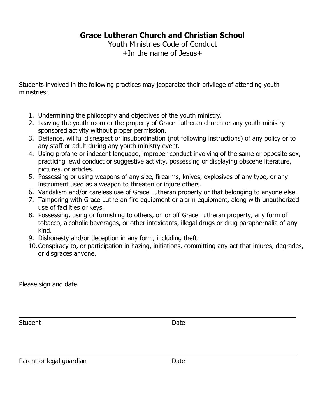**Grace Lutheran Church and Christian School**

Youth Ministries Code of Conduct +In the name of Jesus+

Students involved in the following practices may jeopardize their privilege of attending youth ministries:

- 1. Undermining the philosophy and objectives of the youth ministry.
- 2. Leaving the youth room or the property of Grace Lutheran church or any youth ministry sponsored activity without proper permission.
- 3. Defiance, willful disrespect or insubordination (not following instructions) of any policy or to any staff or adult during any youth ministry event.
- 4. Using profane or indecent language, improper conduct involving of the same or opposite sex, practicing lewd conduct or suggestive activity, possessing or displaying obscene literature, pictures, or articles.
- 5. Possessing or using weapons of any size, firearms, knives, explosives of any type, or any instrument used as a weapon to threaten or injure others.
- 6. Vandalism and/or careless use of Grace Lutheran property or that belonging to anyone else.
- 7. Tampering with Grace Lutheran fire equipment or alarm equipment, along with unauthorized use of facilities or keys.
- 8. Possessing, using or furnishing to others, on or off Grace Lutheran property, any form of tobacco, alcoholic beverages, or other intoxicants, illegal drugs or drug paraphernalia of any kind.
- 9. Dishonesty and/or deception in any form, including theft.
- 10.Conspiracy to, or participation in hazing, initiations, committing any act that injures, degrades, or disgraces anyone.

Please sign and date:

Student Date Date

Parent or legal guardian Date Date